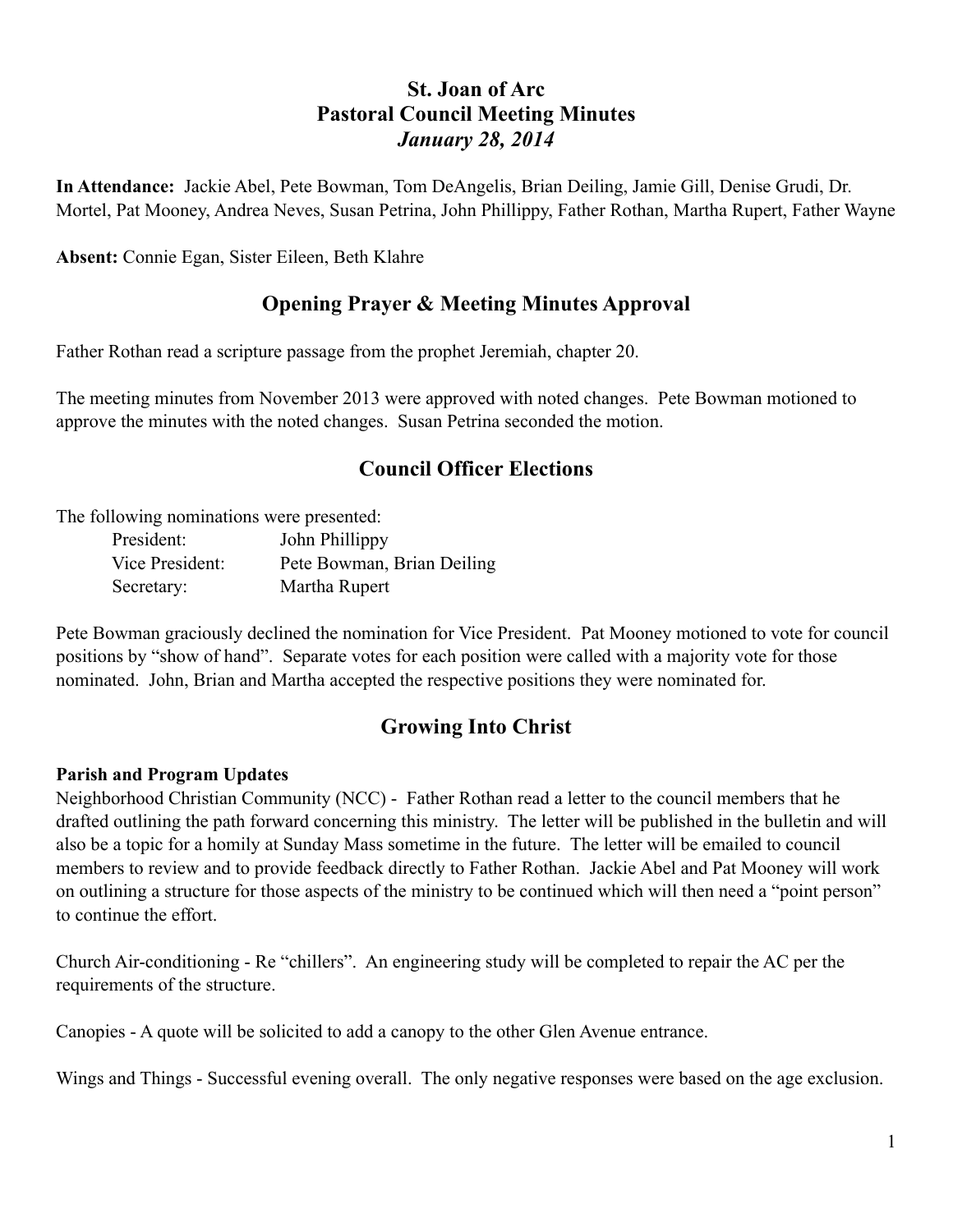# **St. Joan of Arc Pastoral Council Meeting Minutes** *January 28, 2014*

**In Attendance:** Jackie Abel, Pete Bowman, Tom DeAngelis, Brian Deiling, Jamie Gill, Denise Grudi, Dr. Mortel, Pat Mooney, Andrea Neves, Susan Petrina, John Phillippy, Father Rothan, Martha Rupert, Father Wayne

**Absent:** Connie Egan, Sister Eileen, Beth Klahre

# **Opening Prayer & Meeting Minutes Approval**

Father Rothan read a scripture passage from the prophet Jeremiah, chapter 20.

The meeting minutes from November 2013 were approved with noted changes. Pete Bowman motioned to approve the minutes with the noted changes. Susan Petrina seconded the motion.

# **Council Officer Elections**

The following nominations were presented:

| President:      | John Phillippy             |
|-----------------|----------------------------|
| Vice President: | Pete Bowman, Brian Deiling |
| Secretary:      | Martha Rupert              |

Pete Bowman graciously declined the nomination for Vice President. Pat Mooney motioned to vote for council positions by "show of hand". Separate votes for each position were called with a majority vote for those nominated. John, Brian and Martha accepted the respective positions they were nominated for.

# **Growing Into Christ**

## **Parish and Program Updates**

Neighborhood Christian Community (NCC) - Father Rothan read a letter to the council members that he drafted outlining the path forward concerning this ministry. The letter will be published in the bulletin and will also be a topic for a homily at Sunday Mass sometime in the future. The letter will be emailed to council members to review and to provide feedback directly to Father Rothan. Jackie Abel and Pat Mooney will work on outlining a structure for those aspects of the ministry to be continued which will then need a "point person" to continue the effort.

Church Air-conditioning - Re "chillers". An engineering study will be completed to repair the AC per the requirements of the structure.

Canopies - A quote will be solicited to add a canopy to the other Glen Avenue entrance.

Wings and Things - Successful evening overall. The only negative responses were based on the age exclusion.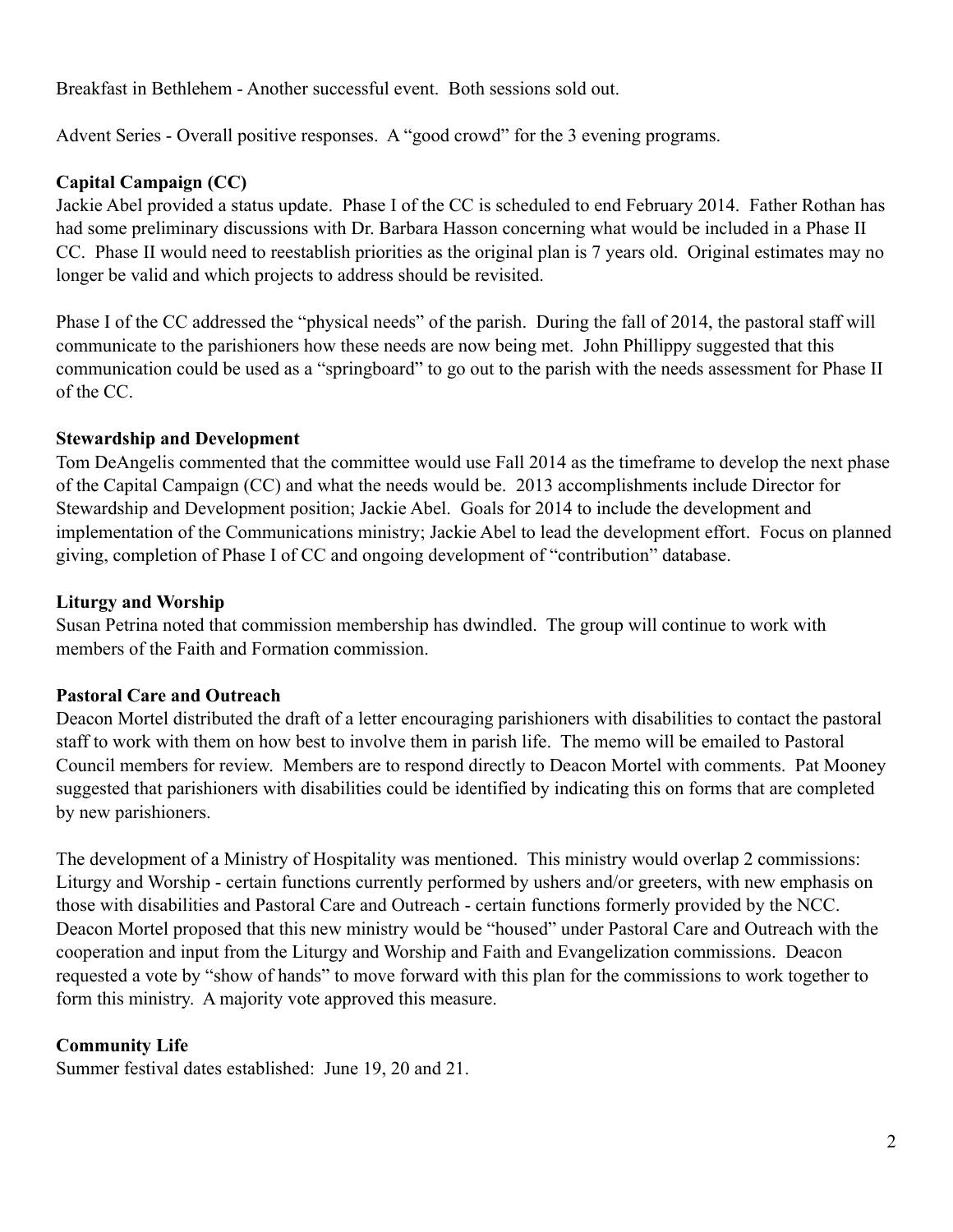Breakfast in Bethlehem - Another successful event. Both sessions sold out.

Advent Series - Overall positive responses. A "good crowd" for the 3 evening programs.

### **Capital Campaign (CC)**

Jackie Abel provided a status update. Phase I of the CC is scheduled to end February 2014. Father Rothan has had some preliminary discussions with Dr. Barbara Hasson concerning what would be included in a Phase II CC. Phase II would need to reestablish priorities as the original plan is 7 years old. Original estimates may no longer be valid and which projects to address should be revisited.

Phase I of the CC addressed the "physical needs" of the parish. During the fall of 2014, the pastoral staff will communicate to the parishioners how these needs are now being met. John Phillippy suggested that this communication could be used as a "springboard" to go out to the parish with the needs assessment for Phase II of the CC.

#### **Stewardship and Development**

Tom DeAngelis commented that the committee would use Fall 2014 as the timeframe to develop the next phase of the Capital Campaign (CC) and what the needs would be. 2013 accomplishments include Director for Stewardship and Development position; Jackie Abel. Goals for 2014 to include the development and implementation of the Communications ministry; Jackie Abel to lead the development effort. Focus on planned giving, completion of Phase I of CC and ongoing development of "contribution" database.

#### **Liturgy and Worship**

Susan Petrina noted that commission membership has dwindled. The group will continue to work with members of the Faith and Formation commission.

#### **Pastoral Care and Outreach**

Deacon Mortel distributed the draft of a letter encouraging parishioners with disabilities to contact the pastoral staff to work with them on how best to involve them in parish life. The memo will be emailed to Pastoral Council members for review. Members are to respond directly to Deacon Mortel with comments. Pat Mooney suggested that parishioners with disabilities could be identified by indicating this on forms that are completed by new parishioners.

The development of a Ministry of Hospitality was mentioned. This ministry would overlap 2 commissions: Liturgy and Worship - certain functions currently performed by ushers and/or greeters, with new emphasis on those with disabilities and Pastoral Care and Outreach - certain functions formerly provided by the NCC. Deacon Mortel proposed that this new ministry would be "housed" under Pastoral Care and Outreach with the cooperation and input from the Liturgy and Worship and Faith and Evangelization commissions. Deacon requested a vote by "show of hands" to move forward with this plan for the commissions to work together to form this ministry. A majority vote approved this measure.

## **Community Life**

Summer festival dates established: June 19, 20 and 21.